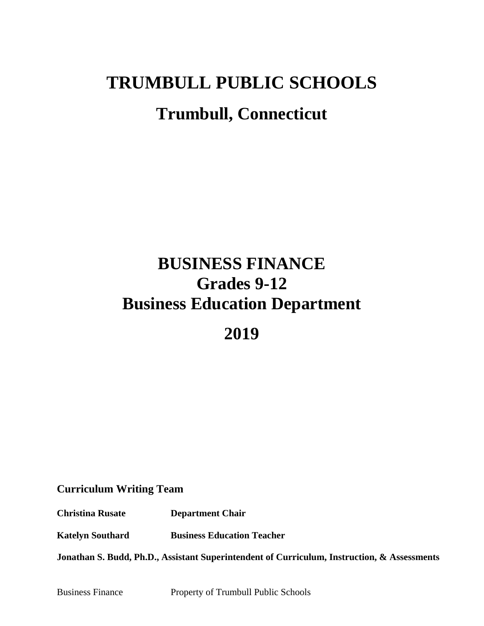# **TRUMBULL PUBLIC SCHOOLS Trumbull, Connecticut**

# **BUSINESS FINANCE Grades 9-12 Business Education Department**

**2019**

# **Curriculum Writing Team**

**Christina Rusate Department Chair**

**Katelyn Southard Business Education Teacher**

**Jonathan S. Budd, Ph.D., Assistant Superintendent of Curriculum, Instruction, & Assessments**

Business Finance Property of Trumbull Public Schools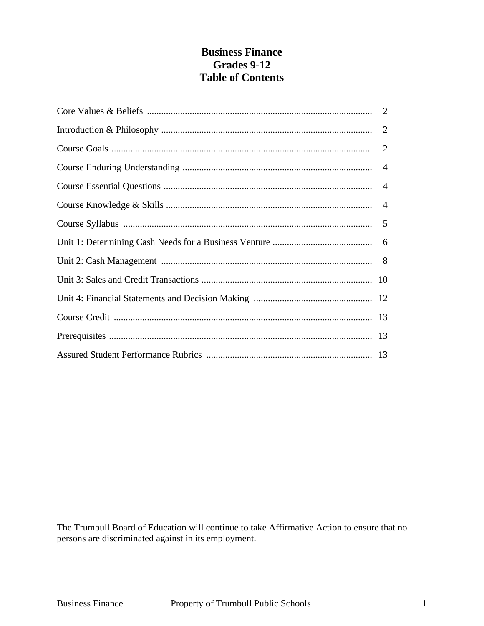# **Business Finance Grades 9-12 Table of Contents**

The Trumbull Board of Education will continue to take Affirmative Action to ensure that no persons are discriminated against in its employment.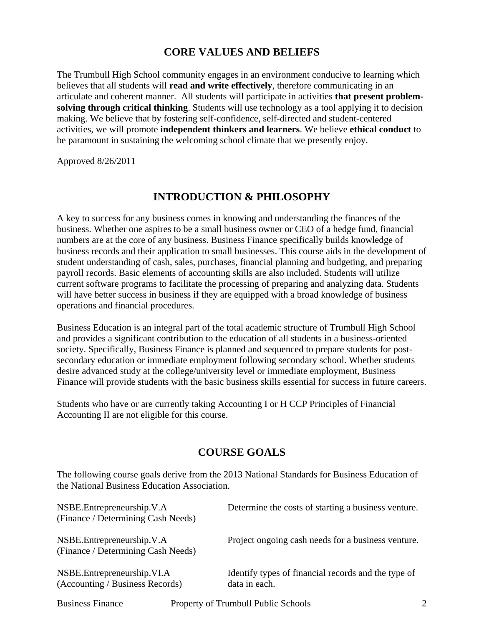# **CORE VALUES AND BELIEFS**

The Trumbull High School community engages in an environment conducive to learning which believes that all students will **read and write effectively**, therefore communicating in an articulate and coherent manner. All students will participate in activities **that present problemsolving through critical thinking**. Students will use technology as a tool applying it to decision making. We believe that by fostering self-confidence, self-directed and student-centered activities, we will promote **independent thinkers and learners**. We believe **ethical conduct** to be paramount in sustaining the welcoming school climate that we presently enjoy.

Approved 8/26/2011

# **INTRODUCTION & PHILOSOPHY**

A key to success for any business comes in knowing and understanding the finances of the business. Whether one aspires to be a small business owner or CEO of a hedge fund, financial numbers are at the core of any business. Business Finance specifically builds knowledge of business records and their application to small businesses. This course aids in the development of student understanding of cash, sales, purchases, financial planning and budgeting, and preparing payroll records. Basic elements of accounting skills are also included. Students will utilize current software programs to facilitate the processing of preparing and analyzing data. Students will have better success in business if they are equipped with a broad knowledge of business operations and financial procedures.

Business Education is an integral part of the total academic structure of Trumbull High School and provides a significant contribution to the education of all students in a business-oriented society. Specifically, Business Finance is planned and sequenced to prepare students for postsecondary education or immediate employment following secondary school. Whether students desire advanced study at the college/university level or immediate employment, Business Finance will provide students with the basic business skills essential for success in future careers.

Students who have or are currently taking Accounting I or H CCP Principles of Financial Accounting II are not eligible for this course.

# **COURSE GOALS**

The following course goals derive from the 2013 National Standards for Business Education of the National Business Education Association.

| NSBE.Entrepreneurship.V.A<br>(Finance / Determining Cash Needs)    | Determine the costs of starting a business venture.                  |
|--------------------------------------------------------------------|----------------------------------------------------------------------|
| NSBE. Entrepreneurship. V.A.<br>(Finance / Determining Cash Needs) | Project ongoing cash needs for a business venture.                   |
| NSBE. Entrepreneurship. VI.A<br>(Accounting / Business Records)    | Identify types of financial records and the type of<br>data in each. |

Business Finance Property of Trumbull Public Schools 2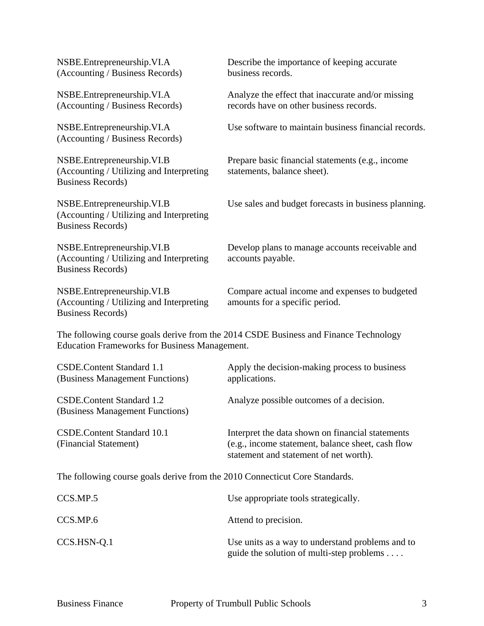| NSBE.Entrepreneurship.VI.A<br>(Accounting / Business Records)                                       | Describe the importance of keeping accurate<br>business records.                                                                                |
|-----------------------------------------------------------------------------------------------------|-------------------------------------------------------------------------------------------------------------------------------------------------|
| NSBE.Entrepreneurship.VI.A<br>(Accounting / Business Records)                                       | Analyze the effect that inaccurate and/or missing<br>records have on other business records.                                                    |
| NSBE.Entrepreneurship.VI.A<br>(Accounting / Business Records)                                       | Use software to maintain business financial records.                                                                                            |
| NSBE.Entrepreneurship.VI.B<br>(Accounting / Utilizing and Interpreting<br><b>Business Records)</b>  | Prepare basic financial statements (e.g., income<br>statements, balance sheet).                                                                 |
| NSBE.Entrepreneurship.VI.B<br>(Accounting / Utilizing and Interpreting<br><b>Business Records</b> ) | Use sales and budget forecasts in business planning.                                                                                            |
| NSBE.Entrepreneurship.VI.B<br>(Accounting / Utilizing and Interpreting<br><b>Business Records</b> ) | Develop plans to manage accounts receivable and<br>accounts payable.                                                                            |
| NSBE.Entrepreneurship.VI.B<br>(Accounting / Utilizing and Interpreting<br><b>Business Records)</b>  | Compare actual income and expenses to budgeted<br>amounts for a specific period.                                                                |
| <b>Education Frameworks for Business Management.</b>                                                | The following course goals derive from the 2014 CSDE Business and Finance Technology                                                            |
| <b>CSDE.Content Standard 1.1</b><br>(Business Management Functions)                                 | Apply the decision-making process to business<br>applications.                                                                                  |
| CSDE.Content Standard 1.2<br>(Business Management Functions)                                        | Analyze possible outcomes of a decision.                                                                                                        |
| <b>CSDE.Content Standard 10.1</b><br>(Financial Statement)                                          | Interpret the data shown on financial statements<br>(e.g., income statement, balance sheet, cash flow<br>statement and statement of net worth). |
| The following course goals derive from the 2010 Connecticut Core Standards.                         |                                                                                                                                                 |
| CCS.MP.5                                                                                            | Use appropriate tools strategically.                                                                                                            |
| CCS.MP.6                                                                                            | Attend to precision.                                                                                                                            |
| CCS.HSN-Q.1                                                                                         | Use units as a way to understand problems and to<br>guide the solution of multi-step problems                                                   |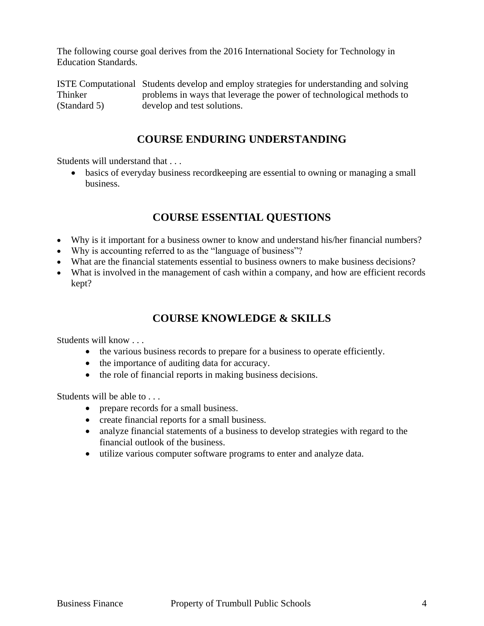The following course goal derives from the 2016 International Society for Technology in Education Standards.

ISTE Computational Students develop and employ strategies for understanding and solving Thinker problems in ways that leverage the power of technological methods to (Standard 5) develop and test solutions.

# **COURSE ENDURING UNDERSTANDING**

Students will understand that . . .

 basics of everyday business recordkeeping are essential to owning or managing a small business.

# **COURSE ESSENTIAL QUESTIONS**

- Why is it important for a business owner to know and understand his/her financial numbers?
- Why is accounting referred to as the "language of business"?
- What are the financial statements essential to business owners to make business decisions?
- What is involved in the management of cash within a company, and how are efficient records kept?

# **COURSE KNOWLEDGE & SKILLS**

Students will know . . .

- the various business records to prepare for a business to operate efficiently.
- the importance of auditing data for accuracy.
- the role of financial reports in making business decisions.

Students will be able to . . .

- prepare records for a small business.
- create financial reports for a small business.
- analyze financial statements of a business to develop strategies with regard to the financial outlook of the business.
- utilize various computer software programs to enter and analyze data.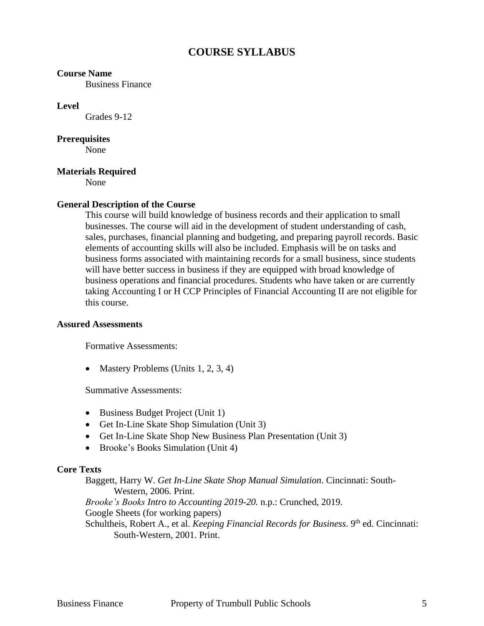# **COURSE SYLLABUS**

#### **Course Name**

Business Finance

#### **Level**

Grades 9-12

#### **Prerequisites**

None

## **Materials Required**

None

## **General Description of the Course**

This course will build knowledge of business records and their application to small businesses. The course will aid in the development of student understanding of cash, sales, purchases, financial planning and budgeting, and preparing payroll records. Basic elements of accounting skills will also be included. Emphasis will be on tasks and business forms associated with maintaining records for a small business, since students will have better success in business if they are equipped with broad knowledge of business operations and financial procedures. Students who have taken or are currently taking Accounting I or H CCP Principles of Financial Accounting II are not eligible for this course.

#### **Assured Assessments**

Formative Assessments:

• Mastery Problems (Units  $1, 2, 3, 4$ )

Summative Assessments:

- Business Budget Project (Unit 1)
- Get In-Line Skate Shop Simulation (Unit 3)
- Get In-Line Skate Shop New Business Plan Presentation (Unit 3)
- Brooke's Books Simulation (Unit 4)

#### **Core Texts**

Baggett, Harry W. *Get In-Line Skate Shop Manual Simulation*. Cincinnati: South-Western, 2006. Print. *Brooke's Books Intro to Accounting 2019-20.* n.p.: Crunched, 2019. Google Sheets (for working papers) Schultheis, Robert A., et al. *Keeping Financial Records for Business*. 9<sup>th</sup> ed. Cincinnati: South-Western, 2001. Print.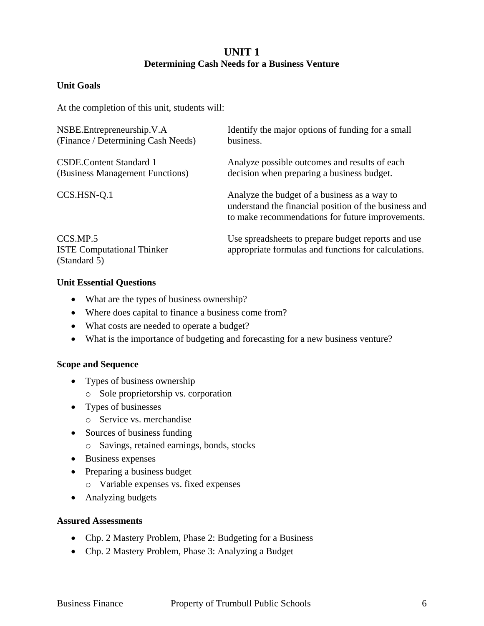# **UNIT 1 Determining Cash Needs for a Business Venture**

# **Unit Goals**

At the completion of this unit, students will:

| NSBE.Entrepreneurship.V.A          | Identify the major options of funding for a small                                                                                                         |
|------------------------------------|-----------------------------------------------------------------------------------------------------------------------------------------------------------|
| (Finance / Determining Cash Needs) | business.                                                                                                                                                 |
| <b>CSDE.Content Standard 1</b>     | Analyze possible outcomes and results of each                                                                                                             |
| (Business Management Functions)    | decision when preparing a business budget.                                                                                                                |
| CCS.HSN-Q.1                        | Analyze the budget of a business as a way to<br>understand the financial position of the business and<br>to make recommendations for future improvements. |
| CCS.MP.5                           | Use spreadsheets to prepare budget reports and use                                                                                                        |
| <b>ISTE Computational Thinker</b>  | appropriate formulas and functions for calculations.                                                                                                      |

#### **Unit Essential Questions**

(Standard 5)

- What are the types of business ownership?
- Where does capital to finance a business come from?
- What costs are needed to operate a budget?
- What is the importance of budgeting and forecasting for a new business venture?

#### **Scope and Sequence**

- Types of business ownership
	- o Sole proprietorship vs. corporation
- Types of businesses
	- o Service vs. merchandise
- Sources of business funding
	- o Savings, retained earnings, bonds, stocks
- Business expenses
- Preparing a business budget
	- o Variable expenses vs. fixed expenses
- Analyzing budgets

#### **Assured Assessments**

- Chp. 2 Mastery Problem, Phase 2: Budgeting for a Business
- Chp. 2 Mastery Problem, Phase 3: Analyzing a Budget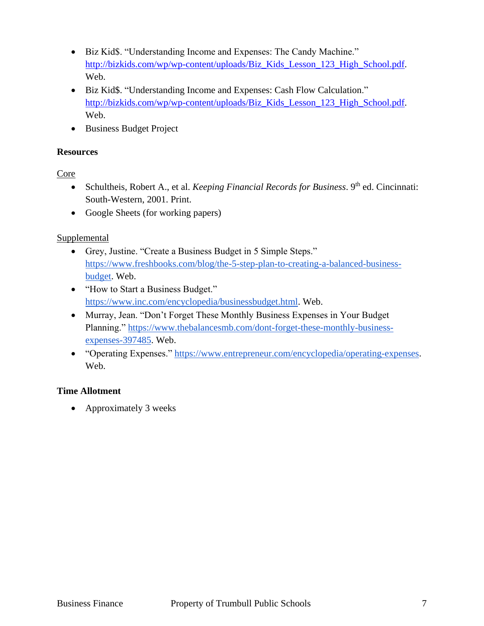- Biz Kid\$. "Understanding Income and Expenses: The Candy Machine." [http://bizkids.com/wp/wp-content/uploads/Biz\\_Kids\\_Lesson\\_123\\_High\\_School.pdf.](http://bizkids.com/wp/wp-content/uploads/Biz_Kids_Lesson_123_High_School.pdf) Web.
- Biz Kid\$. "Understanding Income and Expenses: Cash Flow Calculation." [http://bizkids.com/wp/wp-content/uploads/Biz\\_Kids\\_Lesson\\_123\\_High\\_School.pdf.](http://bizkids.com/wp/wp-content/uploads/Biz_Kids_Lesson_123_High_School.pdf) Web.
- Business Budget Project

# **Resources**

Core

- Schultheis, Robert A., et al. *Keeping Financial Records for Business*. 9<sup>th</sup> ed. Cincinnati: South-Western, 2001. Print.
- Google Sheets (for working papers)

# Supplemental

- Grey, Justine. "Create a Business Budget in 5 Simple Steps." [https://www.freshbooks.com/blog/the-5-step-plan-to-creating-a-balanced-business](https://www.freshbooks.com/blog/the-5-step-plan-to-creating-a-balanced-business-budget)[budget.](https://www.freshbooks.com/blog/the-5-step-plan-to-creating-a-balanced-business-budget) Web.
- "How to Start a Business Budget." [https://www.inc.com/encyclopedia/businessbudget.html.](https://www.inc.com/encyclopedia/businessbudget.html) Web.
- Murray, Jean. "Don't Forget These Monthly Business Expenses in Your Budget Planning." [https://www.thebalancesmb.com/dont-forget-these-monthly-business](https://www.thebalancesmb.com/dont-forget-these-monthly-business-expenses-397485)[expenses-397485.](https://www.thebalancesmb.com/dont-forget-these-monthly-business-expenses-397485) Web.
- "Operating Expenses." [https://www.entrepreneur.com/encyclopedia/operating-expenses.](https://www.entrepreneur.com/encyclopedia/operating-expenses) Web.

# **Time Allotment**

• Approximately 3 weeks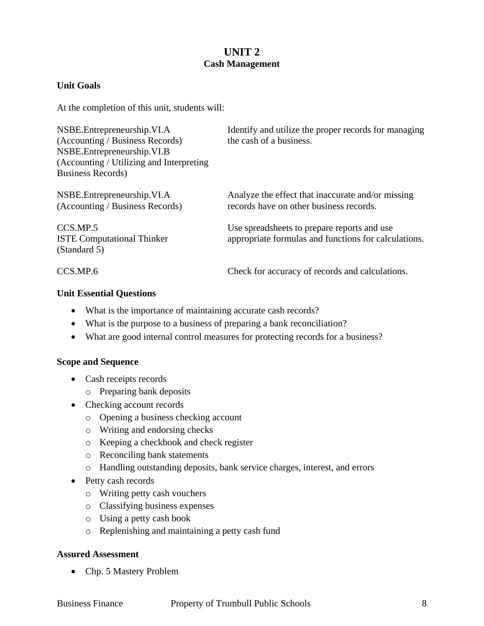# **UNIT 2 Cash Management**

# **Unit Goals**

At the completion of this unit, students will:

| NSBE.Entrepreneurship.VI.A               | Identify and utilize the proper records for managing |  |  |
|------------------------------------------|------------------------------------------------------|--|--|
| (Accounting / Business Records)          | the cash of a business.                              |  |  |
| NSBE.Entrepreneurship.VI.B               |                                                      |  |  |
| (Accounting / Utilizing and Interpreting |                                                      |  |  |
| <b>Business Records</b> )                |                                                      |  |  |
| NSBE. Entrepreneurship. VI.A             | Analyze the effect that inaccurate and/or missing    |  |  |
| (Accounting / Business Records)          | records have on other business records.              |  |  |
| CCS.MP.5                                 | Use spreadsheets to prepare reports and use          |  |  |
| <b>ISTE Computational Thinker</b>        | appropriate formulas and functions for calculations. |  |  |
| (Standard 5)                             |                                                      |  |  |
| CCS.MP.6                                 | Check for accuracy of records and calculations.      |  |  |

## **Unit Essential Questions**

- What is the importance of maintaining accurate cash records?
- What is the purpose to a business of preparing a bank reconciliation?
- What are good internal control measures for protecting records for a business?

#### **Scope and Sequence**

- Cash receipts records
	- o Preparing bank deposits
- Checking account records
	- o Opening a business checking account
	- o Writing and endorsing checks
	- o Keeping a checkbook and check register
	- o Reconciling bank statements
	- o Handling outstanding deposits, bank service charges, interest, and errors
- Petty cash records
	- o Writing petty cash vouchers
	- o Classifying business expenses
	- o Using a petty cash book
	- o Replenishing and maintaining a petty cash fund

#### **Assured Assessment**

• Chp. 5 Mastery Problem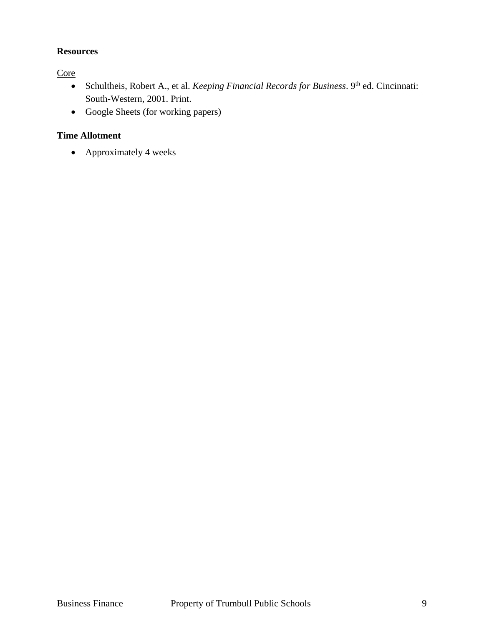# **Resources**

**Core** 

- Schultheis, Robert A., et al. *Keeping Financial Records for Business*. 9th ed. Cincinnati: South-Western, 2001. Print.
- Google Sheets (for working papers)

# **Time Allotment**

• Approximately 4 weeks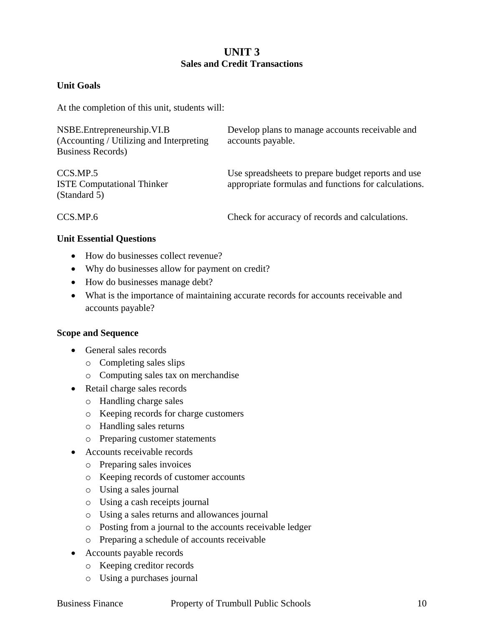# **UNIT 3 Sales and Credit Transactions**

# **Unit Goals**

At the completion of this unit, students will:

| NSBE. Entrepreneurship. VI.B             | Develop plans to manage accounts receivable and      |
|------------------------------------------|------------------------------------------------------|
| (Accounting / Utilizing and Interpreting | accounts payable.                                    |
| <b>Business Records</b> )                |                                                      |
|                                          |                                                      |
| CCS.MP.5                                 | Use spreadsheets to prepare budget reports and use   |
| <b>ISTE Computational Thinker</b>        | appropriate formulas and functions for calculations. |
| (Standard 5)                             |                                                      |

CCS.MP.6 Check for accuracy of records and calculations.

## **Unit Essential Questions**

- How do businesses collect revenue?
- Why do businesses allow for payment on credit?
- How do businesses manage debt?
- What is the importance of maintaining accurate records for accounts receivable and accounts payable?

#### **Scope and Sequence**

- General sales records
	- o Completing sales slips
	- o Computing sales tax on merchandise
- Retail charge sales records
	- o Handling charge sales
	- o Keeping records for charge customers
	- o Handling sales returns
	- o Preparing customer statements
- Accounts receivable records
	- o Preparing sales invoices
	- o Keeping records of customer accounts
	- o Using a sales journal
	- o Using a cash receipts journal
	- o Using a sales returns and allowances journal
	- o Posting from a journal to the accounts receivable ledger
	- o Preparing a schedule of accounts receivable
- Accounts payable records
	- o Keeping creditor records
	- o Using a purchases journal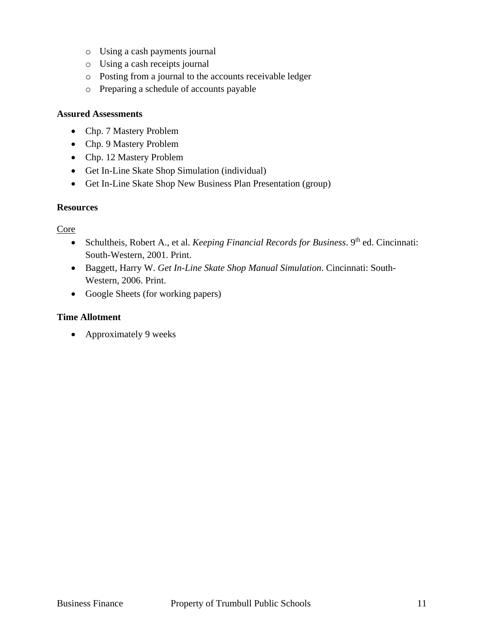- o Using a cash payments journal
- o Using a cash receipts journal
- o Posting from a journal to the accounts receivable ledger
- o Preparing a schedule of accounts payable

#### **Assured Assessments**

- Chp. 7 Mastery Problem
- Chp. 9 Mastery Problem
- Chp. 12 Mastery Problem
- Get In-Line Skate Shop Simulation (individual)
- Get In-Line Skate Shop New Business Plan Presentation (group)

#### **Resources**

Core

- Schultheis, Robert A., et al. *Keeping Financial Records for Business*. 9<sup>th</sup> ed. Cincinnati: South-Western, 2001. Print.
- Baggett, Harry W. *Get In-Line Skate Shop Manual Simulation*. Cincinnati: South-Western, 2006. Print.
- Google Sheets (for working papers)

#### **Time Allotment**

• Approximately 9 weeks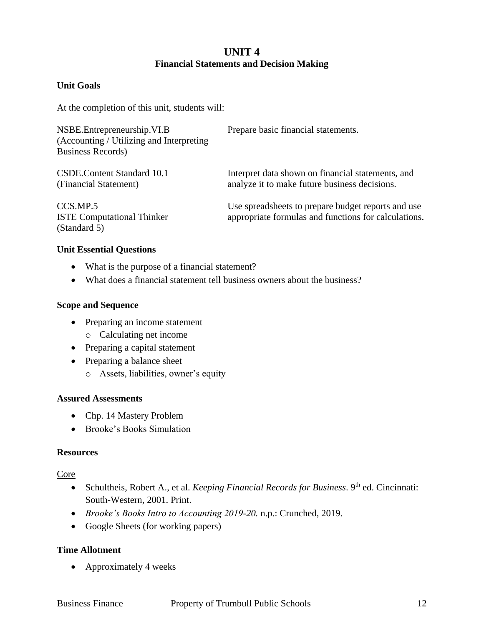# **UNIT 4 Financial Statements and Decision Making**

# **Unit Goals**

At the completion of this unit, students will:

| NSBE.Entrepreneurship.VI.B<br>(Accounting / Utilizing and Interpreting<br><b>Business Records</b> ) | Prepare basic financial statements.                                                                        |
|-----------------------------------------------------------------------------------------------------|------------------------------------------------------------------------------------------------------------|
| CSDE.Content Standard 10.1<br>(Financial Statement)                                                 | Interpret data shown on financial statements, and<br>analyze it to make future business decisions.         |
| CCS.MP.5<br><b>ISTE Computational Thinker</b><br>(Standard 5)                                       | Use spreadsheets to prepare budget reports and use<br>appropriate formulas and functions for calculations. |

#### **Unit Essential Questions**

- What is the purpose of a financial statement?
- What does a financial statement tell business owners about the business?

#### **Scope and Sequence**

- Preparing an income statement
	- o Calculating net income
- Preparing a capital statement
- Preparing a balance sheet
	- o Assets, liabilities, owner's equity

#### **Assured Assessments**

- Chp. 14 Mastery Problem
- Brooke's Books Simulation

#### **Resources**

#### Core

- Schultheis, Robert A., et al. *Keeping Financial Records for Business*. 9<sup>th</sup> ed. Cincinnati: South-Western, 2001. Print.
- *Brooke's Books Intro to Accounting 2019-20.* n.p.: Crunched, 2019.
- Google Sheets (for working papers)

# **Time Allotment**

• Approximately 4 weeks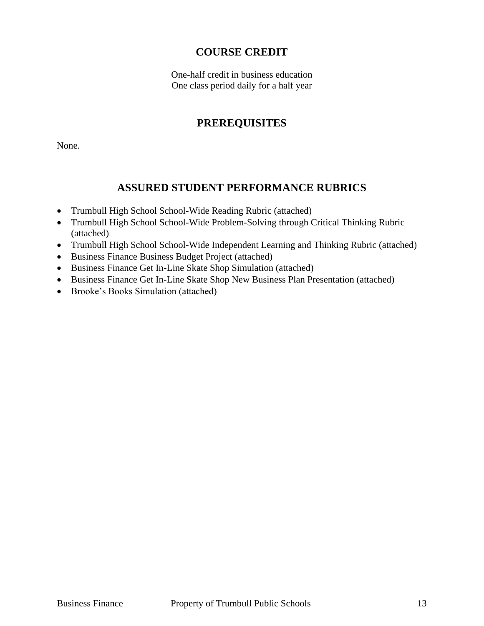# **COURSE CREDIT**

One-half credit in business education One class period daily for a half year

# **PREREQUISITES**

None.

# **ASSURED STUDENT PERFORMANCE RUBRICS**

- Trumbull High School School-Wide Reading Rubric (attached)
- Trumbull High School School-Wide Problem-Solving through Critical Thinking Rubric (attached)
- Trumbull High School School-Wide Independent Learning and Thinking Rubric (attached)
- Business Finance Business Budget Project (attached)
- Business Finance Get In-Line Skate Shop Simulation (attached)
- Business Finance Get In-Line Skate Shop New Business Plan Presentation (attached)
- Brooke's Books Simulation (attached)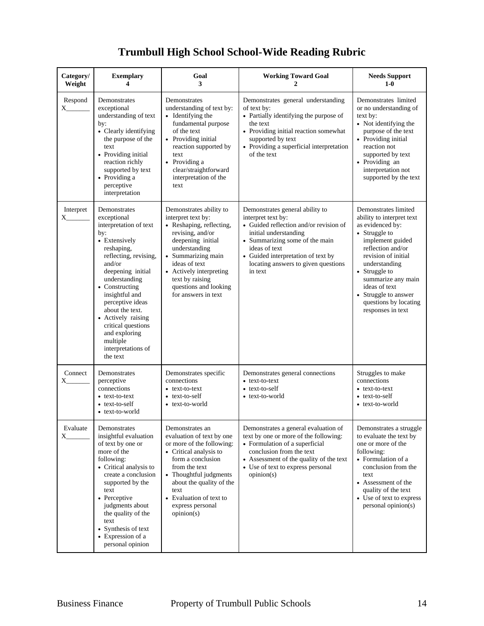# **Trumbull High School School-Wide Reading Rubric**

| Category/<br>Weight | <b>Exemplary</b><br>4                                                                                                                                                                                                                                                                                                                                      | Goal<br>3                                                                                                                                                                                                                                                                | <b>Working Toward Goal</b>                                                                                                                                                                                                                                          | <b>Needs Support</b><br>$1-0$                                                                                                                                                                                                                                                                         |
|---------------------|------------------------------------------------------------------------------------------------------------------------------------------------------------------------------------------------------------------------------------------------------------------------------------------------------------------------------------------------------------|--------------------------------------------------------------------------------------------------------------------------------------------------------------------------------------------------------------------------------------------------------------------------|---------------------------------------------------------------------------------------------------------------------------------------------------------------------------------------------------------------------------------------------------------------------|-------------------------------------------------------------------------------------------------------------------------------------------------------------------------------------------------------------------------------------------------------------------------------------------------------|
| Respond<br>$X_{--}$ | Demonstrates<br>exceptional<br>understanding of text<br>by:<br>• Clearly identifying<br>the purpose of the<br>text<br>• Providing initial<br>reaction richly<br>supported by text<br>• Providing a<br>perceptive<br>interpretation                                                                                                                         | Demonstrates<br>understanding of text by:<br>• Identifying the<br>fundamental purpose<br>of the text<br>• Providing initial<br>reaction supported by<br>text<br>• Providing a<br>clear/straightforward<br>interpretation of the<br>text                                  | Demonstrates general understanding<br>of text by:<br>• Partially identifying the purpose of<br>the text<br>• Providing initial reaction somewhat<br>supported by text<br>• Providing a superficial interpretation<br>of the text                                    | Demonstrates limited<br>or no understanding of<br>text by:<br>• Not identifying the<br>purpose of the text<br>• Providing initial<br>reaction not<br>supported by text<br>· Providing an<br>interpretation not<br>supported by the text                                                               |
| Interpret<br>X      | Demonstrates<br>exceptional<br>interpretation of text<br>by:<br>• Extensively<br>reshaping,<br>reflecting, revising,<br>and/or<br>deepening initial<br>understanding<br>• Constructing<br>insightful and<br>perceptive ideas<br>about the text.<br>• Actively raising<br>critical questions<br>and exploring<br>multiple<br>interpretations of<br>the text | Demonstrates ability to<br>interpret text by:<br>• Reshaping, reflecting,<br>revising, and/or<br>deepening initial<br>understanding<br>• Summarizing main<br>ideas of text<br>• Actively interpreting<br>text by raising<br>questions and looking<br>for answers in text | Demonstrates general ability to<br>interpret text by:<br>• Guided reflection and/or revision of<br>initial understanding<br>• Summarizing some of the main<br>ideas of text<br>• Guided interpretation of text by<br>locating answers to given questions<br>in text | Demonstrates limited<br>ability to interpret text<br>as evidenced by:<br>• Struggle to<br>implement guided<br>reflection and/or<br>revision of initial<br>understanding<br>• Struggle to<br>summarize any main<br>ideas of text<br>• Struggle to answer<br>questions by locating<br>responses in text |
| Connect<br>X.       | Demonstrates<br>perceptive<br>connections<br>• text-to-text<br>• text-to-self<br>• text-to-world                                                                                                                                                                                                                                                           | Demonstrates specific<br>connections<br>• text-to-text<br>• text-to-self<br>• text-to-world                                                                                                                                                                              | Demonstrates general connections<br>• text-to-text<br>• text-to-self<br>• text-to-world                                                                                                                                                                             | Struggles to make<br>connections<br>• text-to-text<br>• text-to-self<br>• text-to-world                                                                                                                                                                                                               |
| Evaluate<br>X       | Demonstrates<br>insightful evaluation<br>of text by one or<br>more of the<br>following:<br>• Critical analysis to<br>create a conclusion<br>supported by the<br>text<br>• Perceptive<br>judgments about<br>the quality of the<br>text<br>• Synthesis of text<br>• Expression of a<br>personal opinion                                                      | Demonstrates an<br>evaluation of text by one<br>or more of the following:<br>• Critical analysis to<br>form a conclusion<br>from the text<br>• Thoughtful judgments<br>about the quality of the<br>text<br>• Evaluation of text to<br>express personal<br>opinion(s)     | Demonstrates a general evaluation of<br>text by one or more of the following:<br>• Formulation of a superficial<br>conclusion from the text<br>• Assessment of the quality of the text<br>• Use of text to express personal<br>opinion(s)                           | Demonstrates a struggle<br>to evaluate the text by<br>one or more of the<br>following:<br>• Formulation of a<br>conclusion from the<br>text<br>• Assessment of the<br>quality of the text<br>• Use of text to express<br>personal opinion(s)                                                          |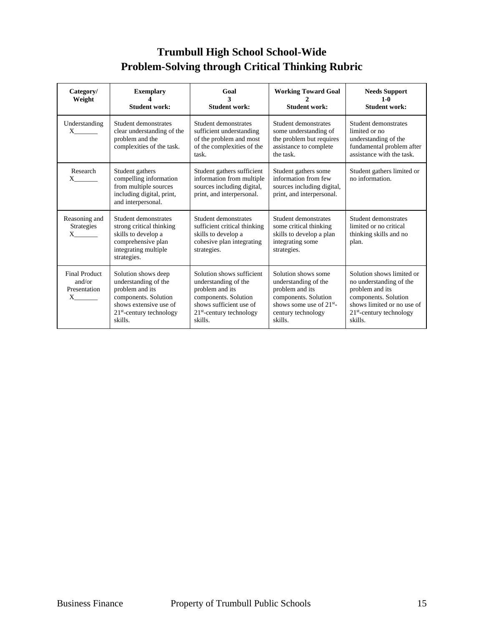# **Trumbull High School School-Wide Problem-Solving through Critical Thinking Rubric**

| Category/<br>Weight                                        | <b>Exemplary</b><br><b>Student work:</b>                                                                                                                            | Goal<br><b>Student work:</b>                                                                                                                                     | <b>Working Toward Goal</b><br><b>Student work:</b>                                                                                                     | <b>Needs Support</b><br>$1 - 0$<br><b>Student work:</b>                                                                                                                |
|------------------------------------------------------------|---------------------------------------------------------------------------------------------------------------------------------------------------------------------|------------------------------------------------------------------------------------------------------------------------------------------------------------------|--------------------------------------------------------------------------------------------------------------------------------------------------------|------------------------------------------------------------------------------------------------------------------------------------------------------------------------|
| Understanding<br>$X \sim$                                  | Student demonstrates<br>clear understanding of the<br>problem and the<br>complexities of the task.                                                                  | Student demonstrates<br>sufficient understanding<br>of the problem and most<br>of the complexities of the<br>task.                                               | Student demonstrates<br>some understanding of<br>the problem but requires<br>assistance to complete<br>the task.                                       | Student demonstrates<br>limited or no<br>understanding of the<br>fundamental problem after<br>assistance with the task.                                                |
| Research<br>$X \sim$                                       | Student gathers<br>compelling information<br>from multiple sources<br>including digital, print,<br>and interpersonal.                                               | Student gathers sufficient<br>information from multiple<br>sources including digital,<br>print, and interpersonal.                                               | Student gathers some<br>information from few<br>sources including digital,<br>print, and interpersonal.                                                | Student gathers limited or<br>no information.                                                                                                                          |
| Reasoning and<br><b>Strategies</b>                         | Student demonstrates<br>strong critical thinking<br>skills to develop a<br>comprehensive plan<br>integrating multiple<br>strategies.                                | Student demonstrates<br>sufficient critical thinking<br>skills to develop a<br>cohesive plan integrating<br>strategies.                                          | Student demonstrates<br>some critical thinking<br>skills to develop a plan<br>integrating some<br>strategies.                                          | Student demonstrates<br>limited or no critical<br>thinking skills and no<br>plan.                                                                                      |
| <b>Final Product</b><br>and/or<br>Presentation<br>$X \sim$ | Solution shows deep<br>understanding of the<br>problem and its<br>components. Solution<br>shows extensive use of<br>21 <sup>st</sup> -century technology<br>skills. | Solution shows sufficient<br>understanding of the<br>problem and its<br>components. Solution<br>shows sufficient use of<br>$21st$ -century technology<br>skills. | Solution shows some<br>understanding of the<br>problem and its<br>components. Solution<br>shows some use of $21^{st}$<br>century technology<br>skills. | Solution shows limited or<br>no understanding of the<br>problem and its<br>components. Solution<br>shows limited or no use of<br>$21st$ -century technology<br>skills. |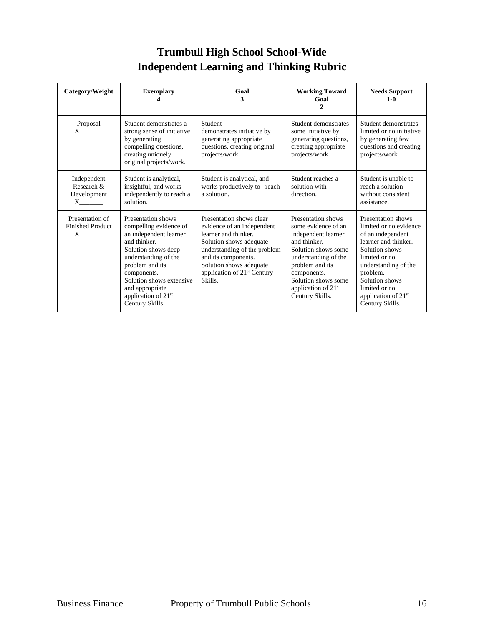# **Trumbull High School School-Wide Independent Learning and Thinking Rubric**

| Category/Weight                                                       | <b>Exemplary</b>                                                                                                                                                                                                                                                             | Goal<br>3                                                                                                                                                                                                                                         | <b>Working Toward</b><br>Goal<br>$\mathcal{L}$                                                                                                                                                                                                 | <b>Needs Support</b><br>$1 - 0$                                                                                                                                                                                                                           |
|-----------------------------------------------------------------------|------------------------------------------------------------------------------------------------------------------------------------------------------------------------------------------------------------------------------------------------------------------------------|---------------------------------------------------------------------------------------------------------------------------------------------------------------------------------------------------------------------------------------------------|------------------------------------------------------------------------------------------------------------------------------------------------------------------------------------------------------------------------------------------------|-----------------------------------------------------------------------------------------------------------------------------------------------------------------------------------------------------------------------------------------------------------|
| Proposal                                                              | Student demonstrates a<br>strong sense of initiative<br>by generating<br>compelling questions,<br>creating uniquely<br>original projects/work.                                                                                                                               | Student<br>demonstrates initiative by<br>generating appropriate<br>questions, creating original<br>projects/work.                                                                                                                                 | Student demonstrates<br>some initiative by<br>generating questions,<br>creating appropriate<br>projects/work.                                                                                                                                  | Student demonstrates<br>limited or no initiative<br>by generating few<br>questions and creating<br>projects/work.                                                                                                                                         |
| Independent<br>Research &<br>Development<br>$X$ <sub>__________</sub> | Student is analytical,<br>insightful, and works<br>independently to reach a<br>solution.                                                                                                                                                                                     | Student is analytical, and<br>works productively to reach<br>a solution.                                                                                                                                                                          | Student reaches a<br>solution with<br>direction.                                                                                                                                                                                               | Student is unable to<br>reach a solution<br>without consistent<br>assistance.                                                                                                                                                                             |
| Presentation of<br><b>Finished Product</b><br>$X$ <sub>________</sub> | Presentation shows<br>compelling evidence of<br>an independent learner<br>and thinker.<br>Solution shows deep<br>understanding of the<br>problem and its<br>components.<br>Solution shows extensive<br>and appropriate<br>application of 21 <sup>st</sup><br>Century Skills. | Presentation shows clear<br>evidence of an independent<br>learner and thinker.<br>Solution shows adequate<br>understanding of the problem<br>and its components.<br>Solution shows adequate<br>application of 21 <sup>st</sup> Century<br>Skills. | Presentation shows<br>some evidence of an<br>independent learner<br>and thinker.<br>Solution shows some<br>understanding of the<br>problem and its<br>components.<br>Solution shows some<br>application of 21 <sup>st</sup><br>Century Skills. | Presentation shows<br>limited or no evidence<br>of an independent<br>learner and thinker.<br>Solution shows<br>limited or no<br>understanding of the<br>problem.<br>Solution shows<br>limited or no<br>application of 21 <sup>st</sup><br>Century Skills. |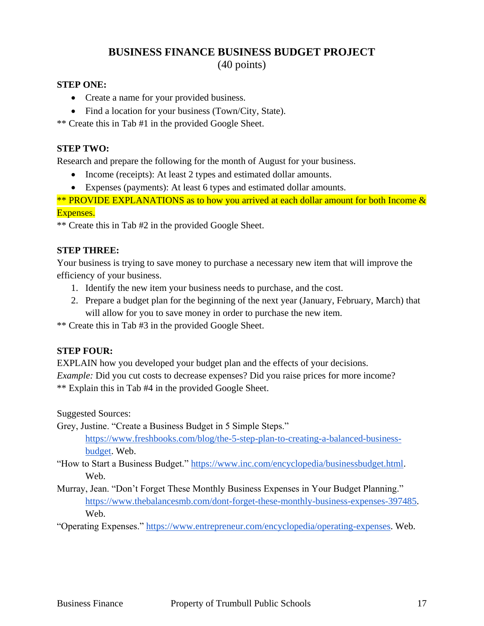# **BUSINESS FINANCE BUSINESS BUDGET PROJECT** (40 points)

# **STEP ONE:**

- Create a name for your provided business.
- Find a location for your business (Town/City, State).

\*\* Create this in Tab #1 in the provided Google Sheet.

# **STEP TWO:**

Research and prepare the following for the month of August for your business.

- Income (receipts): At least 2 types and estimated dollar amounts.
- Expenses (payments): At least 6 types and estimated dollar amounts.

\*\* PROVIDE EXPLANATIONS as to how you arrived at each dollar amount for both Income  $\&$ Expenses.

\*\* Create this in Tab #2 in the provided Google Sheet.

## **STEP THREE:**

Your business is trying to save money to purchase a necessary new item that will improve the efficiency of your business.

- 1. Identify the new item your business needs to purchase, and the cost.
- 2. Prepare a budget plan for the beginning of the next year (January, February, March) that will allow for you to save money in order to purchase the new item.

\*\* Create this in Tab #3 in the provided Google Sheet.

# **STEP FOUR:**

EXPLAIN how you developed your budget plan and the effects of your decisions. *Example:* Did you cut costs to decrease expenses? Did you raise prices for more income? \*\* Explain this in Tab #4 in the provided Google Sheet.

Suggested Sources:

Grey, Justine. "Create a Business Budget in 5 Simple Steps."

[https://www.freshbooks.com/blog/the-5-step-plan-to-creating-a-balanced-business](https://www.freshbooks.com/blog/the-5-step-plan-to-creating-a-balanced-business-budget)[budget.](https://www.freshbooks.com/blog/the-5-step-plan-to-creating-a-balanced-business-budget) Web.

"How to Start a Business Budget." [https://www.inc.com/encyclopedia/businessbudget.html.](https://www.inc.com/encyclopedia/businessbudget.html) Web.

Murray, Jean. "Don't Forget These Monthly Business Expenses in Your Budget Planning." [https://www.thebalancesmb.com/dont-forget-these-monthly-business-expenses-397485.](https://www.thebalancesmb.com/dont-forget-these-monthly-business-expenses-397485) Web.

"Operating Expenses." [https://www.entrepreneur.com/encyclopedia/operating-expenses.](https://www.entrepreneur.com/encyclopedia/operating-expenses) Web.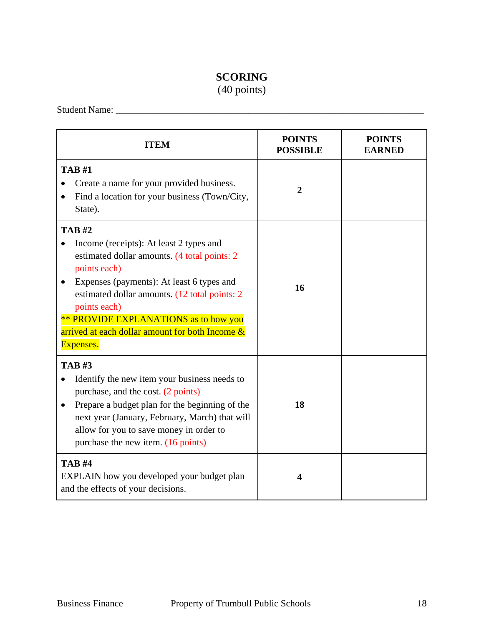# **SCORING**

(40 points)

Student Name: \_\_\_\_\_\_\_\_\_\_\_\_\_\_\_\_\_\_\_\_\_\_\_\_\_\_\_\_\_\_\_\_\_\_\_\_\_\_\_\_\_\_\_\_\_\_\_\_\_\_\_\_\_\_\_\_\_\_\_\_\_\_\_\_\_

| <b>ITEM</b>                                                                                                                                                                                                                                                                                                                                            | <b>POINTS</b><br><b>POSSIBLE</b> | <b>POINTS</b><br><b>EARNED</b> |
|--------------------------------------------------------------------------------------------------------------------------------------------------------------------------------------------------------------------------------------------------------------------------------------------------------------------------------------------------------|----------------------------------|--------------------------------|
| <b>TAB#1</b><br>Create a name for your provided business.<br>Find a location for your business (Town/City,<br>State).                                                                                                                                                                                                                                  | $\overline{2}$                   |                                |
| <b>TAB#2</b><br>Income (receipts): At least 2 types and<br>estimated dollar amounts. (4 total points: 2<br>points each)<br>Expenses (payments): At least 6 types and<br>estimated dollar amounts. (12 total points: 2)<br>points each)<br><b>** PROVIDE EXPLANATIONS</b> as to how you<br>arrived at each dollar amount for both Income &<br>Expenses. | 16                               |                                |
| <b>TAB#3</b><br>Identify the new item your business needs to<br>purchase, and the cost. (2 points)<br>Prepare a budget plan for the beginning of the<br>$\bullet$<br>next year (January, February, March) that will<br>allow for you to save money in order to<br>purchase the new item. (16 points)                                                   | 18                               |                                |
| <b>TAB#4</b><br>EXPLAIN how you developed your budget plan<br>and the effects of your decisions.                                                                                                                                                                                                                                                       | 4                                |                                |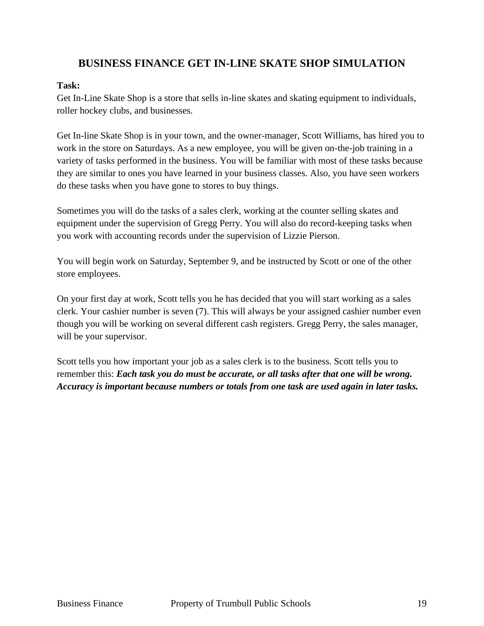# **BUSINESS FINANCE GET IN-LINE SKATE SHOP SIMULATION**

# **Task:**

Get In-Line Skate Shop is a store that sells in-line skates and skating equipment to individuals, roller hockey clubs, and businesses.

Get In-line Skate Shop is in your town, and the owner-manager, Scott Williams, has hired you to work in the store on Saturdays. As a new employee, you will be given on-the-job training in a variety of tasks performed in the business. You will be familiar with most of these tasks because they are similar to ones you have learned in your business classes. Also, you have seen workers do these tasks when you have gone to stores to buy things.

Sometimes you will do the tasks of a sales clerk, working at the counter selling skates and equipment under the supervision of Gregg Perry. You will also do record-keeping tasks when you work with accounting records under the supervision of Lizzie Pierson.

You will begin work on Saturday, September 9, and be instructed by Scott or one of the other store employees.

On your first day at work, Scott tells you he has decided that you will start working as a sales clerk. Your cashier number is seven (7). This will always be your assigned cashier number even though you will be working on several different cash registers. Gregg Perry, the sales manager, will be your supervisor.

Scott tells you how important your job as a sales clerk is to the business. Scott tells you to remember this: *Each task you do must be accurate, or all tasks after that one will be wrong. Accuracy is important because numbers or totals from one task are used again in later tasks.*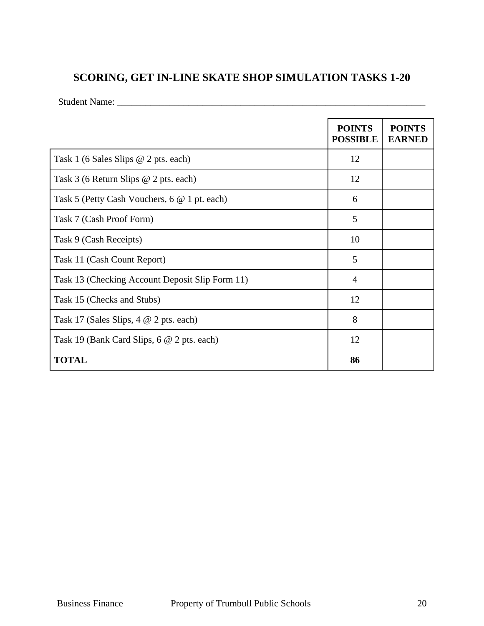# **SCORING, GET IN-LINE SKATE SHOP SIMULATION TASKS 1-20**

Student Name: \_\_\_\_\_\_\_\_\_\_\_\_\_\_\_\_\_\_\_\_\_\_\_\_\_\_\_\_\_\_\_\_\_\_\_\_\_\_\_\_\_\_\_\_\_\_\_\_\_\_\_\_\_\_\_\_\_\_\_\_\_\_\_\_\_

|                                                 | <b>POINTS</b><br><b>POSSIBLE</b> | <b>POINTS</b><br><b>EARNED</b> |
|-------------------------------------------------|----------------------------------|--------------------------------|
| Task 1 (6 Sales Slips $@$ 2 pts. each)          | 12                               |                                |
| Task 3 (6 Return Slips @ 2 pts. each)           | 12                               |                                |
| Task 5 (Petty Cash Vouchers, 6 @ 1 pt. each)    | 6                                |                                |
| Task 7 (Cash Proof Form)                        | 5                                |                                |
| Task 9 (Cash Receipts)                          | 10                               |                                |
| Task 11 (Cash Count Report)                     | 5                                |                                |
| Task 13 (Checking Account Deposit Slip Form 11) | $\overline{4}$                   |                                |
| Task 15 (Checks and Stubs)                      | 12                               |                                |
| Task 17 (Sales Slips, $4 \& 2$ pts. each)       | 8                                |                                |
| Task 19 (Bank Card Slips, 6 @ 2 pts. each)      | 12                               |                                |
| <b>TOTAL</b>                                    | 86                               |                                |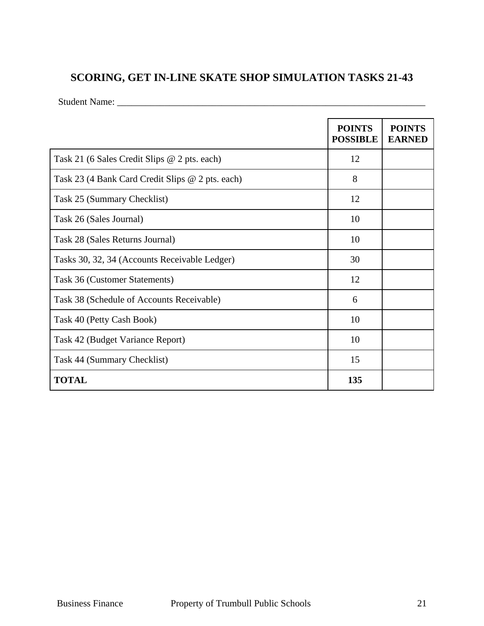# **SCORING, GET IN-LINE SKATE SHOP SIMULATION TASKS 21-43**

Student Name: \_\_\_\_\_\_\_\_\_\_\_\_\_\_\_\_\_\_\_\_\_\_\_\_\_\_\_\_\_\_\_\_\_\_\_\_\_\_\_\_\_\_\_\_\_\_\_\_\_\_\_\_\_\_\_\_\_\_\_\_\_\_\_\_\_

|                                                  | <b>POINTS</b><br><b>POSSIBLE</b> | <b>POINTS</b><br><b>EARNED</b> |
|--------------------------------------------------|----------------------------------|--------------------------------|
| Task 21 (6 Sales Credit Slips @ 2 pts. each)     | 12                               |                                |
| Task 23 (4 Bank Card Credit Slips @ 2 pts. each) | 8                                |                                |
| Task 25 (Summary Checklist)                      | 12                               |                                |
| Task 26 (Sales Journal)                          | 10                               |                                |
| Task 28 (Sales Returns Journal)                  | 10                               |                                |
| Tasks 30, 32, 34 (Accounts Receivable Ledger)    | 30                               |                                |
| Task 36 (Customer Statements)                    | 12                               |                                |
| Task 38 (Schedule of Accounts Receivable)        | 6                                |                                |
| Task 40 (Petty Cash Book)                        | 10                               |                                |
| Task 42 (Budget Variance Report)                 | 10                               |                                |
| Task 44 (Summary Checklist)                      | 15                               |                                |
| <b>TOTAL</b>                                     | 135                              |                                |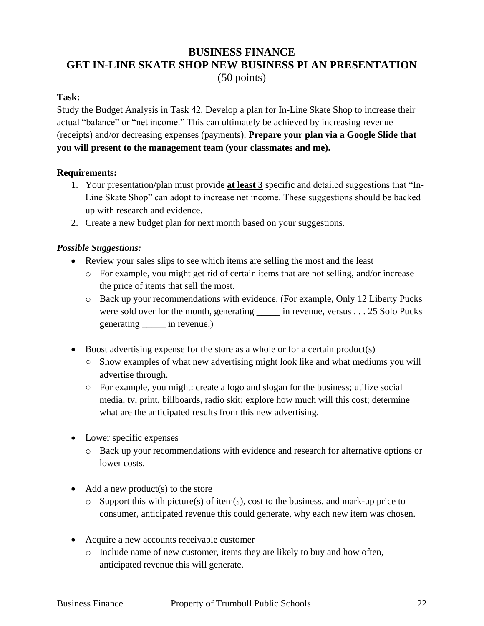# **BUSINESS FINANCE GET IN-LINE SKATE SHOP NEW BUSINESS PLAN PRESENTATION** (50 points)

## **Task:**

Study the Budget Analysis in Task 42. Develop a plan for In-Line Skate Shop to increase their actual "balance" or "net income." This can ultimately be achieved by increasing revenue (receipts) and/or decreasing expenses (payments). **Prepare your plan via a Google Slide that you will present to the management team (your classmates and me).** 

## **Requirements:**

- 1. Your presentation/plan must provide **at least 3** specific and detailed suggestions that "In-Line Skate Shop" can adopt to increase net income. These suggestions should be backed up with research and evidence.
- 2. Create a new budget plan for next month based on your suggestions.

## *Possible Suggestions:*

- Review your sales slips to see which items are selling the most and the least
	- o For example, you might get rid of certain items that are not selling, and/or increase the price of items that sell the most.
	- o Back up your recommendations with evidence. (For example, Only 12 Liberty Pucks were sold over for the month, generating \_\_\_\_\_\_ in revenue, versus . . . 25 Solo Pucks generating \_\_\_\_\_ in revenue.)
- Boost advertising expense for the store as a whole or for a certain product(s)
	- Show examples of what new advertising might look like and what mediums you will advertise through.
	- For example, you might: create a logo and slogan for the business; utilize social media, tv, print, billboards, radio skit; explore how much will this cost; determine what are the anticipated results from this new advertising.
- Lower specific expenses
	- o Back up your recommendations with evidence and research for alternative options or lower costs.
- $\bullet$  Add a new product(s) to the store
	- $\circ$  Support this with picture(s) of item(s), cost to the business, and mark-up price to consumer, anticipated revenue this could generate, why each new item was chosen.
- Acquire a new accounts receivable customer
	- o Include name of new customer, items they are likely to buy and how often, anticipated revenue this will generate.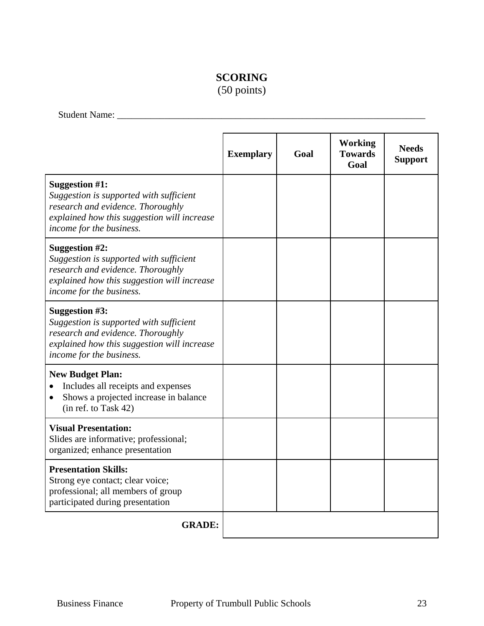# **SCORING**

(50 points)

Student Name: \_\_\_\_\_\_\_\_\_\_\_\_\_\_\_\_\_\_\_\_\_\_\_\_\_\_\_\_\_\_\_\_\_\_\_\_\_\_\_\_\_\_\_\_\_\_\_\_\_\_\_\_\_\_\_\_\_\_\_\_\_\_\_\_\_

|                                                                                                                                                                                  | <b>Exemplary</b> | Goal | <b>Working</b><br><b>Towards</b><br>Goal | <b>Needs</b><br><b>Support</b> |
|----------------------------------------------------------------------------------------------------------------------------------------------------------------------------------|------------------|------|------------------------------------------|--------------------------------|
| Suggestion #1:<br>Suggestion is supported with sufficient<br>research and evidence. Thoroughly<br>explained how this suggestion will increase<br>income for the business.        |                  |      |                                          |                                |
| <b>Suggestion #2:</b><br>Suggestion is supported with sufficient<br>research and evidence. Thoroughly<br>explained how this suggestion will increase<br>income for the business. |                  |      |                                          |                                |
| Suggestion #3:<br>Suggestion is supported with sufficient<br>research and evidence. Thoroughly<br>explained how this suggestion will increase<br>income for the business.        |                  |      |                                          |                                |
| <b>New Budget Plan:</b><br>Includes all receipts and expenses<br>Shows a projected increase in balance<br>(in ref. to Task 42)                                                   |                  |      |                                          |                                |
| <b>Visual Presentation:</b><br>Slides are informative; professional;<br>organized; enhance presentation                                                                          |                  |      |                                          |                                |
| <b>Presentation Skills:</b><br>Strong eye contact; clear voice;<br>professional; all members of group<br>participated during presentation                                        |                  |      |                                          |                                |
| <b>GRADE:</b>                                                                                                                                                                    |                  |      |                                          |                                |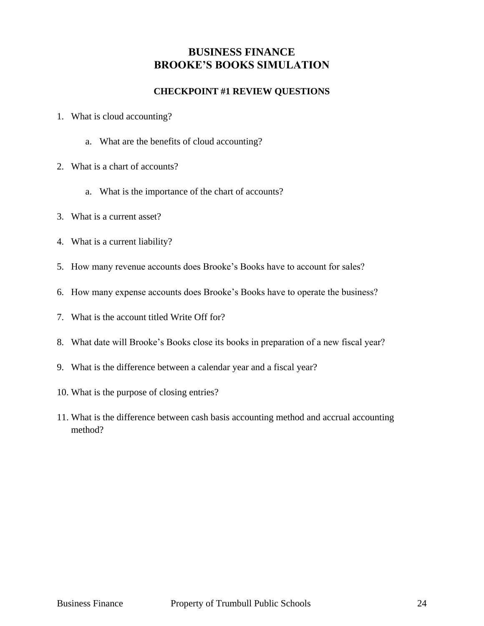# **BUSINESS FINANCE BROOKE'S BOOKS SIMULATION**

# **CHECKPOINT #1 REVIEW QUESTIONS**

- 1. What is cloud accounting?
	- a. What are the benefits of cloud accounting?
- 2. What is a chart of accounts?
	- a. What is the importance of the chart of accounts?
- 3. What is a current asset?
- 4. What is a current liability?
- 5. How many revenue accounts does Brooke's Books have to account for sales?
- 6. How many expense accounts does Brooke's Books have to operate the business?
- 7. What is the account titled Write Off for?
- 8. What date will Brooke's Books close its books in preparation of a new fiscal year?
- 9. What is the difference between a calendar year and a fiscal year?
- 10. What is the purpose of closing entries?
- 11. What is the difference between cash basis accounting method and accrual accounting method?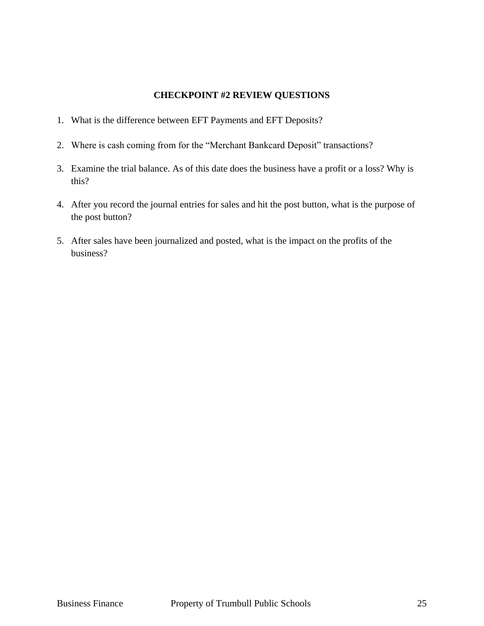## **CHECKPOINT #2 REVIEW QUESTIONS**

- 1. What is the difference between EFT Payments and EFT Deposits?
- 2. Where is cash coming from for the "Merchant Bankcard Deposit" transactions?
- 3. Examine the trial balance. As of this date does the business have a profit or a loss? Why is this?
- 4. After you record the journal entries for sales and hit the post button, what is the purpose of the post button?
- 5. After sales have been journalized and posted, what is the impact on the profits of the business?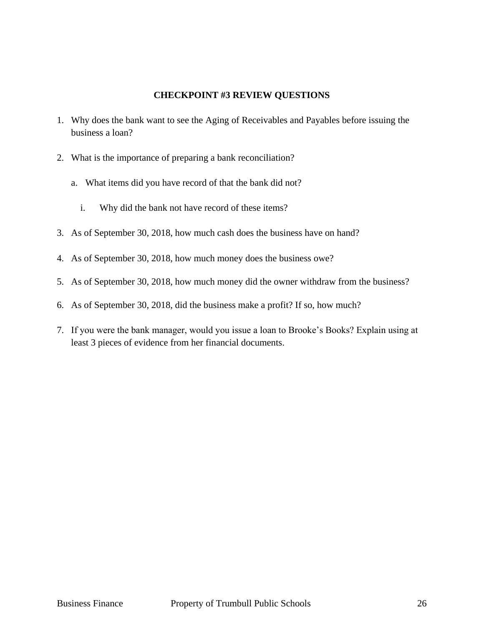## **CHECKPOINT #3 REVIEW QUESTIONS**

- 1. Why does the bank want to see the Aging of Receivables and Payables before issuing the business a loan?
- 2. What is the importance of preparing a bank reconciliation?
	- a. What items did you have record of that the bank did not?
		- i. Why did the bank not have record of these items?
- 3. As of September 30, 2018, how much cash does the business have on hand?
- 4. As of September 30, 2018, how much money does the business owe?
- 5. As of September 30, 2018, how much money did the owner withdraw from the business?
- 6. As of September 30, 2018, did the business make a profit? If so, how much?
- 7. If you were the bank manager, would you issue a loan to Brooke's Books? Explain using at least 3 pieces of evidence from her financial documents.